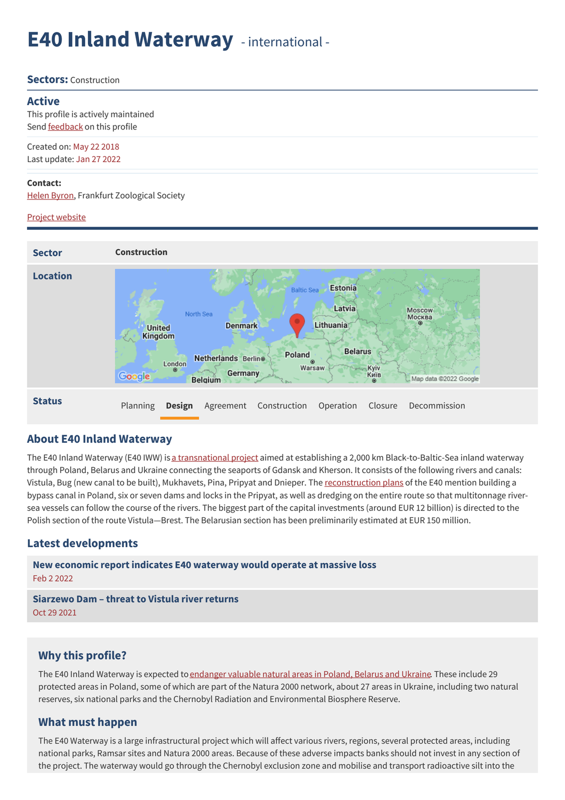# **E40 Inland Waterway** - international -

#### **Sectors:** Construction

#### **Active**

This profile is actively maintained Send **[feedback](https://www.banktrack.org/feedback/dodgydeal/e40_waterway)** on this profile

Created on: May 22 2018 Last update: Jan 27 2022

#### **Contact:**

[Helen](mailto:byron@zgf.de) Byron, Frankfurt Zoological Society

#### Project website



#### **About E40 Inland Waterway**

The E40 Inland Waterway (E40 IWW) is a [transnational](https://savepolesia.org/the-threat/) project aimed at establishing a 2,000 km Black-to-Baltic-Sea inland waterway through Poland, Belarus and Ukraine connecting the seaports of Gdansk and Kherson. It consists of the following rivers and canals: Vistula, Bug (new canal to be built), Mukhavets, Pina, Pripyat and Dnieper. The [reconstruction](https://stope40.org/en/pages/about) plans of the E40 mention building a bypass canal in Poland, six or seven dams and locks in the Pripyat, as well as dredging on the entire route so that multitonnage riversea vessels can follow the course of the rivers. The biggest part of the capital investments (around EUR 12 billion) is directed to the Polish section of the route Vistula—Brest. The Belarusian section has been preliminarily estimated at EUR 150 million.

#### **Latest developments**

**New economic report indicates E40 [waterway](javascript:void(0)) would operate at massive loss** Feb 2 2022 **[Siarzewo](javascript:void(0)) Dam – threat to Vistula river returns** Oct 29 2021

## **Why this profile?**

The E40 Inland Waterway is expected to [endanger](https://savepolesia.org/) valuable natural areas in Poland, Belarus and Ukraine. These include 29 protected areas in Poland, some of which are part of the Natura 2000 network, about 27 areas in Ukraine, including two natural reserves, six national parks and the Chernobyl Radiation and Environmental Biosphere Reserve.

#### **What must happen**

The E40 Waterway is a large infrastructural project which will affect various rivers, regions, several protected areas, including national parks, Ramsar sites and Natura 2000 areas. Because of these adverse impacts banks should not invest in any section of the project. The waterway would go through the Chernobyl exclusion zone and mobilise and transport radioactive silt into the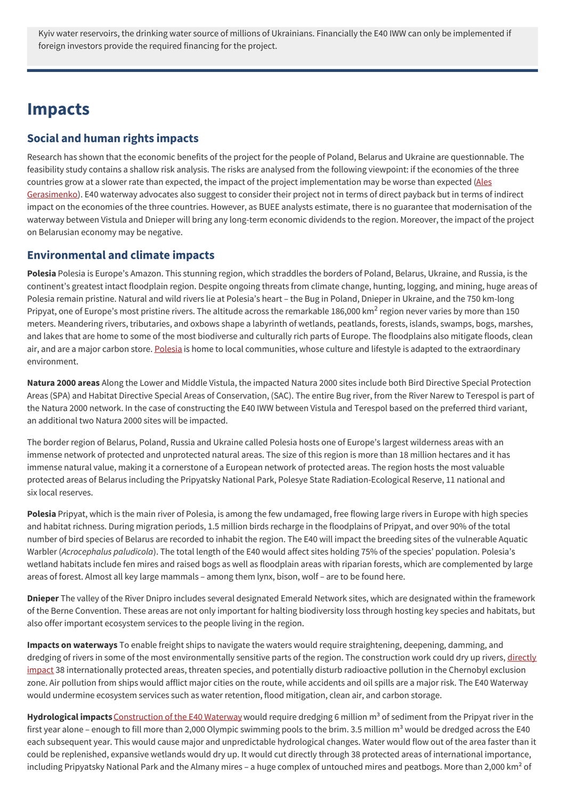Kyiv water reservoirs, the drinking water source of millions of Ukrainians. Financially the E40 IWW can only be implemented if foreign investors provide the required financing for the project.

## **Impacts**

## **Social and human rights impacts**

Research has shown that the economic benefits of the project for the people of Poland, Belarus and Ukraine are questionnable. The feasibility study contains a shallow risk analysis. The risks are analysed from the following viewpoint: if the economies of the three countries grow at a slower rate than expected, the impact of the project [implementation](https://stope40.org/en/articles/negative-economics) may be worse than expected (Ales Gerasimenko). E40 waterway advocates also suggest to consider their project not in terms of direct payback but in terms of indirect impact on the economies of the three countries. However, as BUEE analysts estimate, there is no guarantee that modernisation of the waterway between Vistula and Dnieper will bring any long-term economic dividends to the region. Moreover, the impact of the project on Belarusian economy may be negative.

## **Environmental and climate impacts**

**Polesia** Polesia is Europe's Amazon. This stunning region, which straddles the borders of Poland, Belarus, Ukraine, and Russia, is the continent's greatest intact floodplain region. Despite ongoing threats from climate change, hunting, logging, and mining, huge areas of Polesia remain pristine. Natural and wild rivers lie at Polesia's heart – the Bug in Poland, Dnieper in Ukraine, and the 750 km-long Pripyat, one of Europe's most pristine rivers. The altitude across the remarkable 186,000 km<sup>2</sup> region never varies by more than 150 meters. Meandering rivers, tributaries, and oxbows shape a labyrinth of wetlands, peatlands, forests, islands, swamps, bogs, marshes, and lakes that are home to some of the most biodiverse and culturally rich parts of Europe. The floodplains also mitigate floods, clean air, and are a major carbon store. [Polesia](https://savepolesia.org/polesia/) is home to local communities, whose culture and lifestyle is adapted to the extraordinary environment.

**Natura 2000 areas** Along the Lower and Middle Vistula, the impacted Natura 2000 sites include both Bird Directive Special Protection Areas (SPA) and Habitat Directive Special Areas of Conservation, (SAC). The entire Bug river, from the River Narew to Terespol is part of the Natura 2000 network. In the case of constructing the E40 IWW between Vistula and Terespol based on the preferred third variant, an additional two Natura 2000 sites will be impacted.

The border region of Belarus, Poland, Russia and Ukraine called Polesia hosts one of Europe's largest wilderness areas with an immense network of protected and unprotected natural areas. The size of this region is more than 18 million hectares and it has immense natural value, making it a cornerstone of a European network of protected areas. The region hosts the most valuable protected areas of Belarus including the Pripyatsky National Park, Polesye State Radiation-Ecological Reserve, 11 national and six local reserves.

**Polesia** Pripyat, which is the main river of Polesia, is among the few undamaged, free flowing large rivers in Europe with high species and habitat richness. During migration periods, 1.5 million birds recharge in the floodplains of Pripyat, and over 90% of the total number of bird species of Belarus are recorded to inhabit the region. The E40 will impact the breeding sites of the vulnerable Aquatic Warbler (*Acrocephalus paludicola*). The total length of the E40 would affect sites holding 75% of the species' population. Polesia's wetland habitats include fen mires and raised bogs as well as floodplain areas with riparian forests, which are complemented by large areas of forest. Almost all key large mammals – among them lynx, bison, wolf – are to be found here.

**Dnieper** The valley of the River Dnipro includes several designated Emerald Network sites, which are designated within the framework of the Berne Convention. These areas are not only important for halting biodiversity loss through hosting key species and habitats, but also offer important ecosystem services to the people living in the region.

**Impacts on waterways** To enable freight ships to navigate the waters would require straightening, deepening, damming, and dredging of rivers in some of the most [environmentally](https://savepolesia.org/the-threat/) sensitive parts of the region. The construction work could dry up rivers, directly impact 38 internationally protected areas, threaten species, and potentially disturb radioactive pollution in the Chernobyl exclusion zone. Air pollution from ships would afflict major cities on the route, while accidents and oil spills are a major risk. The E40 Waterway would undermine ecosystem services such as water retention, flood mitigation, clean air, and carbon storage.

Hydrological impacts [Construction](https://savepolesia.org/wp-content/uploads/2020/03/SavePolesia_Factsheet_Impacts-of-E40-in-Belarus-and-Ukraine.pdf) of the E40 Waterway would require dredging 6 million m<sup>3</sup> of sediment from the Pripyat river in the first year alone – enough to fill more than 2,000 Olympic swimming pools to the brim. 3.5 million  $m<sup>3</sup>$  would be dredged across the E40 each subsequent year. This would cause major and unpredictable hydrological changes. Water would flow out of the area faster than it could be replenished, expansive wetlands would dry up. It would cut directly through 38 protected areas of international importance, including Pripyatsky National Park and the Almany mires – a huge complex of untouched mires and peatbogs. More than 2,000 km<sup>2</sup> of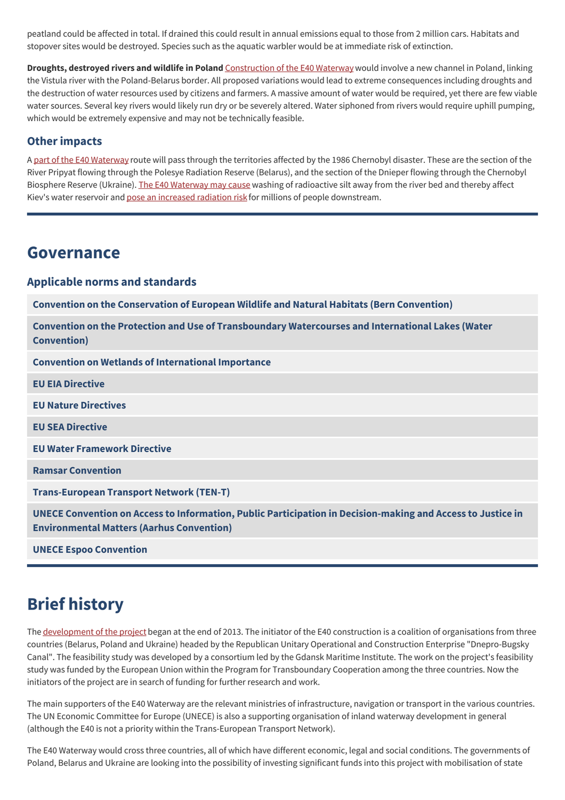peatland could be affected in total. If drained this could result in annual emissions equal to those from 2 million cars. Habitats and stopover sites would be destroyed. Species such as the aquatic warbler would be at immediate risk of extinction.

**Droughts, destroyed rivers and wildlife in Poland** [Construction](https://savepolesia.org/wp-content/uploads/2020/03/SavePolesia_Factsheet_Impacts-of-E40-in-Poland.pdf) of the E40 Waterway would involve a new channel in Poland, linking the Vistula river with the Poland-Belarus border. All proposed variations would lead to extreme consequences including droughts and the destruction of water resources used by citizens and farmers. A massive amount of water would be required, yet there are few viable water sources. Several key rivers would likely run dry or be severely altered. Water siphoned from rivers would require uphill pumping, which would be extremely expensive and may not be technically feasible.

## **Other impacts**

A part of the E40 [Waterway](https://stope40.org/en/articles/xrays) route will pass through the territories affected by the 1986 Chernobyl disaster. These are the section of the River Pripyat flowing through the Polesye Radiation Reserve (Belarus), and the section of the Dnieper flowing through the Chernobyl Biosphere Reserve (Ukraine). The E40 [Waterway](https://climatenewsnetwork.net/canal-plan-raises-spectre-of-chernobyl/) may cause washing of radioactive silt away from the river bed and thereby affect Kiev's water reservoir and pose an [increased](https://savepolesia.org/wp-content/uploads/2020/04/SavePolesia_Factsheet_E40-could-expose-people-to-radiation.pdf) radiation risk for millions of people downstream.

## **Governance**

## **Applicable norms and standards**

**Convention on the [Conservation](https://www.coe.int/en/web/bern-convention) of European Wildlife and Natural Habitats (Bern Convention)**

**Convention on the Protection and Use of [Transboundary](https://www.unece.org/env/water/text/text.html) Watercourses and International Lakes (Water Convention)**

**Convention on Wetlands of [International](http://portal.unesco.org/en/ev.php-URL_ID=15398&URL_DO=DO_TOPIC&URL_SECTION=201.html) Importance**

**EU EIA [Directive](https://ec.europa.eu/environment/eia/eia-legalcontext.htm)**

**EU Nature [Directives](https://ec.europa.eu/environment/nature/index_en.htm)**

**EU SEA [Directive](https://ec.europa.eu/environment/eia/sea-legalcontext.htm)**

**EU Water [Framework](http://ec.europa.eu/environment/water/water-framework/index_en.html) Directive**

**Ramsar [Convention](http://www.ramsar.org/)**

**[Trans-European](https://ec.europa.eu/transport/themes/infrastructure/ten-t_en) Transport Network (TEN-T)**

**UNECE Convention on Access to Information, Public Participation in [Decision-making](https://www.unece.org/env/pp/treatytext.html) and Access to Justice in Environmental Matters (Aarhus Convention)**

**UNECE Espoo [Convention](https://www.unece.org/env/eia/eia.html)**

## **Brief history**

The [development](https://stope40.org/en/pages/about) of the project began at the end of 2013. The initiator of the E40 construction is a coalition of organisations from three countries (Belarus, Poland and Ukraine) headed by the Republican Unitary Operational and Construction Enterprise "Dnepro-Bugsky Canal". The feasibility study was developed by a consortium led by the Gdansk Maritime Institute. The work on the project's feasibility study was funded by the European Union within the Program for Transboundary Cooperation among the three countries. Now the initiators of the project are in search of funding for further research and work.

The main supporters of the E40 Waterway are the relevant ministries of infrastructure, navigation or transport in the various countries. The UN Economic Committee for Europe (UNECE) is also a supporting organisation of inland waterway development in general (although the E40 is not a priority within the Trans-European Transport Network).

The E40 Waterway would cross three countries, all of which have different economic, legal and social conditions. The governments of Poland, Belarus and Ukraine are looking into the possibility of investing significant funds into this project with mobilisation of state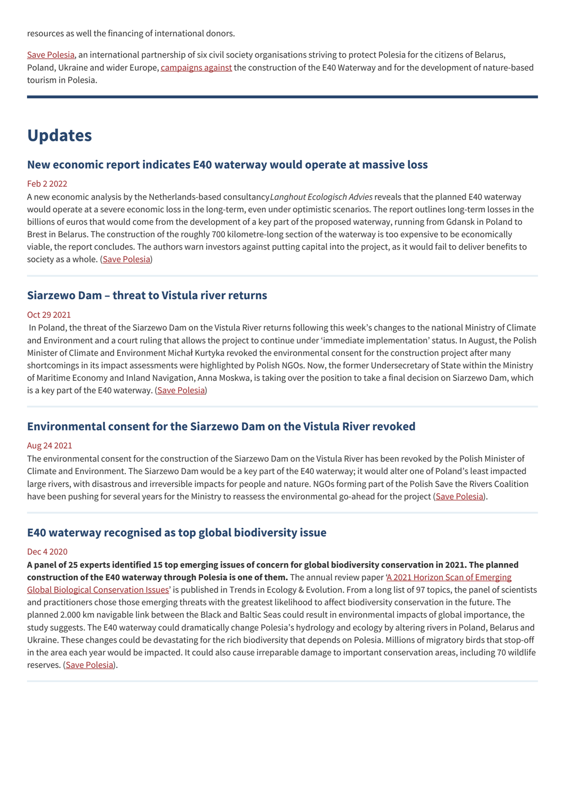resources as well the financing of international donors.

Save [Polesia](https://savepolesia.org/about-us/), an international partnership of six civil society organisations striving to protect Polesia for the citizens of Belarus, Poland, Ukraine and wider Europe, [campaigns](https://savepolesia.org/the-solution/) against the construction of the E40 Waterway and for the development of nature-based tourism in Polesia.

## **Updates**

### **New economic report indicates E40 waterway would operate at massive loss**

#### Feb 2 2022

A new economic analysis by the Netherlands-based consultancy*Langhout Ecologisch Advies*reveals that the planned E40 waterway would operate at a severe economic loss in the long-term, even under optimistic scenarios. The report outlines long-term losses in the billions of euros that would come from the development of a key part of the proposed waterway, running from Gdansk in Poland to Brest in Belarus. The construction of the roughly 700 kilometre-long section of the waterway is too expensive to be economically viable, the report concludes. The authors warn investors against putting capital into the project, as it would fail to deliver benefits to society as a whole. (Save [Polesia\)](https://savepolesia.org/new-economic-report-indicates-e40-waterway-would-operate-at-massive-loss/)

## **Siarzewo Dam – threat to Vistula river returns**

#### Oct 29 2021

In Poland, the threat of the Siarzewo Dam on the Vistula River returns following this week's changes to the national Ministry of Climate and Environment and a court ruling that allows the project to continue under ʻimmediate implementation' status. In August, the Polish Minister of Climate and Environment Michał Kurtyka revoked the environmental consent for the construction project after many shortcomings in its impact assessments were highlighted by Polish NGOs. Now, the former Undersecretary of State within the Ministry of Maritime Economy and Inland Navigation, Anna Moskwa, is taking over the position to take a final decision on Siarzewo Dam, which is a key part of the E40 waterway. (Save [Polesia](https://savepolesia.org/siarzewo-dam-threat-to-vistula-river-returns/))

#### **Environmental consent for the Siarzewo Dam on the Vistula River revoked**

#### Aug 24 2021

The environmental consent for the construction of the Siarzewo Dam on the Vistula River has been revoked by the Polish Minister of Climate and Environment. The Siarzewo Dam would be a key part of the E40 waterway; it would alter one of Poland's least impacted large rivers, with disastrous and irreversible impacts for people and nature. NGOs forming part of the Polish Save the Rivers Coalition have been pushing for several years for the Ministry to reassess the environmental go-ahead for the project (Save [Polesia](https://savepolesia.org/polish-minister-revokes-environmental-consent-for-siarzewo-dam-a-key-part-of-the-e40-waterway/)).

## **E40 waterway recognised as top global biodiversity issue**

#### Dec 4 2020

A panel of 25 experts identified 15 top emerging issues of concern for global biodiversity conservation in 2021. The planned **[construction](https://www.sciencedirect.com/science/article/abs/pii/S0169534720303062) of the E40 waterway through Polesia is one of them.** The annual review paper ʻA 2021 Horizon Scan of Emerging Global Biological Conservation Issues' is published in Trends in Ecology & Evolution. From a long list of 97 topics, the panel of scientists and practitioners chose those emerging threats with the greatest likelihood to affect biodiversity conservation in the future. The planned 2.000 km navigable link between the Black and Baltic Seas could result in environmental impacts of global importance, the study suggests. The E40 waterway could dramatically change Polesia's hydrology and ecology by altering rivers in Poland, Belarus and Ukraine. These changes could be devastating for the rich biodiversity that depends on Polesia. Millions of migratory birds that stop-off in the area each year would be impacted. It could also cause irreparable damage to important conservation areas, including 70 wildlife reserves. (Save [Polesia](https://savepolesia.org/e40-waterway-recognised-as-top-global-biodiversity-issue/)).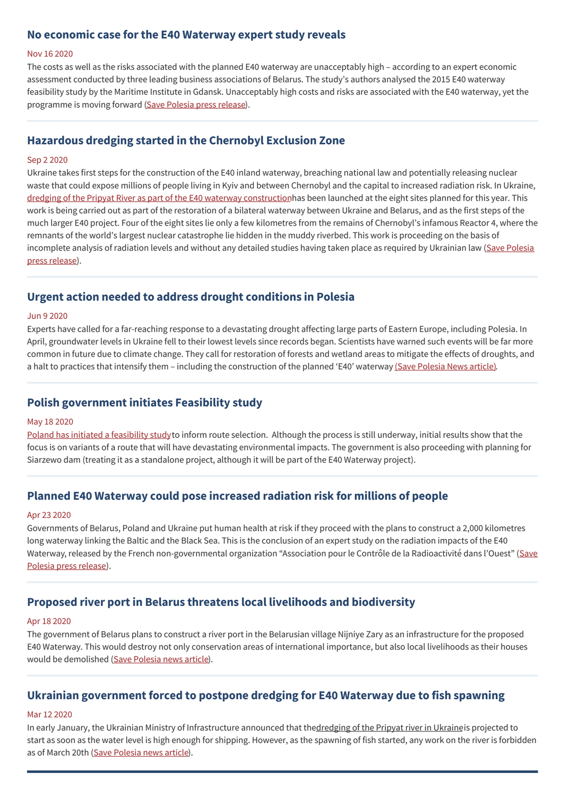## **No economic case for the E40 Waterway expert study reveals**

#### Nov 16 2020

The costs as well as the risks associated with the planned E40 waterway are unacceptably high – according to an expert economic assessment conducted by three leading business associations of Belarus. The study's authors analysed the 2015 E40 waterway feasibility study by the Maritime Institute in Gdansk. Unacceptably high costs and risks are associated with the E40 waterway, yet the programme is moving forward (Save [Polesia](https://savepolesia.org/no-economic-case-for-the-e40-waterway-expert-study-reveals/) press release).

## **Hazardous dredging started in the Chernobyl Exclusion Zone**

#### Sep 2 2020

Ukraine takes first steps for the construction of the E40 inland waterway, breaching national law and potentially releasing nuclear waste that could expose millions of people living in Kyiv and between Chernobyl and the capital to increased radiation risk. In Ukraine, dredging of the Pripyat River as part of the E40 waterway [construction](https://savepolesia.org/dredging-of-the-pripyat-river-started-within-the-chernobyl-exclusion-zone/)has been launched at the eight sites planned for this year. This work is being carried out as part of the restoration of a bilateral waterway between Ukraine and Belarus, and as the first steps of the much larger E40 project. Four of the eight sites lie only a few kilometres from the remains of Chernobyl's infamous Reactor 4, where the remnants of the world's largest nuclear catastrophe lie hidden in the muddy riverbed. This work is proceeding on the basis of [incomplete](https://savepolesia.org/press-release-hazardous-dredging-started-in-the-chernobyl-exclusion-zone/) analysis of radiation levels and without any detailed studies having taken place as required by Ukrainian law (Save Polesia press release).

## **Urgent action needed to address drought conditions in Polesia**

#### Jun 9 2020

Experts have called for a far-reaching response to a devastating drought affecting large parts of Eastern Europe, including Polesia. In April, groundwater levels in Ukraine fell to their lowest levels since records began. Scientists have warned such events will be far more common in future due to climate change. They call for restoration of forests and wetland areas to mitigate the effects of droughts, and a halt to practices that intensify them – including the construction of the planned 'E40' waterway (Save [Polesia](https://savepolesia.org/urgent-action-needed-to-address-drought-conditions-in-polesia/) News article).

## **Polish government initiates Feasibility study**

#### May 18 2020

Poland has initiated a [feasibility](http://programwisla.pl/etap2.html) studyto inform route selection. Although the process is still underway, initial results show that the focus is on variants of a route that will have devastating environmental impacts. The government is also proceeding with planning for Siarzewo dam (treating it as a standalone project, although it will be part of the E40 Waterway project).

## **Planned E40 Waterway could pose increased radiation risk for millions of people**

#### Apr 23 2020

Governments of Belarus, Poland and Ukraine put human health at risk if they proceed with the plans to construct a 2,000 kilometres long waterway linking the Baltic and the Black Sea. This is the conclusion of an expert study on the radiation impacts of the E40 Waterway, released by the French [non-governmental](https://savepolesia.org/press-release-planned-e40-waterway-could-pose-increased-radiation-risk-for-millions-of-people/) organization "Association pour le Contrôle de la Radioactivité dans l'Ouest" (Save Polesia press release).

## **Proposed river port in Belarus threatens local livelihoods and biodiversity**

#### Apr 18 2020

The government of Belarus plans to construct a river port in the Belarusian village Nijniye Zary as an infrastructure for the proposed E40 Waterway. This would destroy not only conservation areas of international importance, but also local livelihoods as their houses would be demolished (Save [Polesia](https://savepolesia.org/proposed-river-port-in-belarus-threatens-local-livelihoods-and-biodiversity/) news article).

## **Ukrainian government forced to postpone dredging for E40 Waterway due to fish spawning**

#### Mar 12 2020

In early January, the Ukrainian Ministry of Infrastructure announced that thedredging of the Pripyat river in Ukraineis projected to start as soon as the water level is high enough for shipping. However, as the spawning of fish started, any work on the river is forbidden as of March 20th (Save [Polesia](https://savepolesia.org/ukrainian-government-forced-to-postpone-dredging-for-e40-waterway-due-to-fish-spawning/) news article).